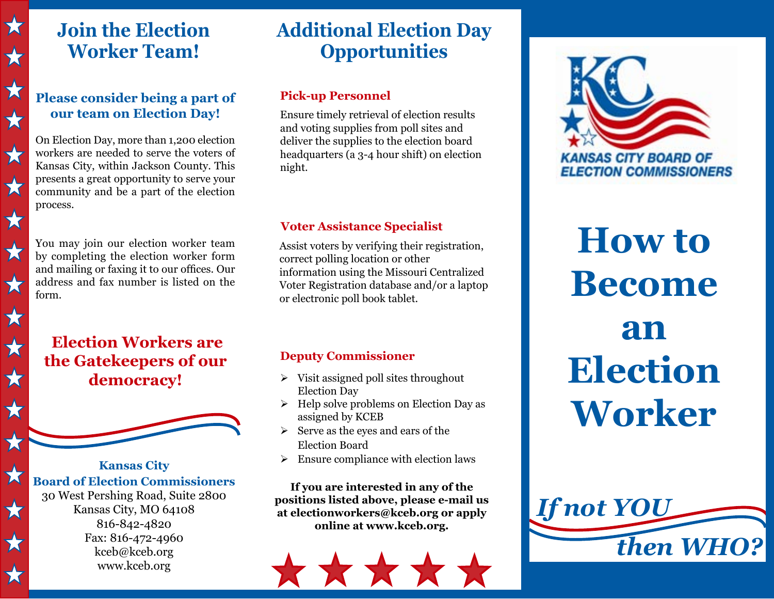## **Join the Election Worker Team!**

 $\bigstar$ 

 $\bigstar$ 

 $\bigstar$ 

 $\bigstar$ 

 $\bigstar$ 

 $\bigstar$ 

 $\bigstar$ 

 $\bigstar$ 

 $\bigstar$ 

 $\bigstar$ 

★

 $\bigstar$ 

 $\bigstar$ 

文

 $\bigstar$ 

 $\bigstar$ 

 $\bigstar$ 

### **Please consider being a part of our team on Election Day!**

On Election Day, more than 1,200 election workers are needed to serve the voters of Kansas City, within Jackson County. This presents a great opportunity to serve your community and be a part of the election process.

You may join our election worker team by completing the election worker form and mailing or faxing it to our offices. Our address and fax number is listed on the form.

### **Election Workers are the Gatekeepers of our democracy!**



**Kansas City Board of Election Commissioners** 30 West Pershing Road, Suite 2800 Kansas City, MO 64108 816-842-4820 Fax: 816-472-4960 kceb@kceb.org www.kceb.org

# **Additional Election Day Opportunities**

### **Pick-up Personnel**

Ensure timely retrieval of election results and voting supplies from poll sites and deliver the supplies to the election board headquarters (a 3-4 hour shift) on election night.

### **Voter Assistance Specialist**

Assist voters by verifying their registration, correct polling location or other information using the Missouri Centralized Voter Registration database and/or a laptop or electronic poll book tablet.

### **Deputy Commissioner**

- $\triangleright$  Visit assigned poll sites throughout Election Day
- $\triangleright$  Help solve problems on Election Day as assigned by KCEB
- $\triangleright$  Serve as the eyes and ears of the Election Board
- $\triangleright$  Ensure compliance with election laws

**If you are interested in any of the positions listed above, please e-mail us at electionworkers@kceb.org or apply online at www.kceb.org.**





**How to Become an Election Worker**